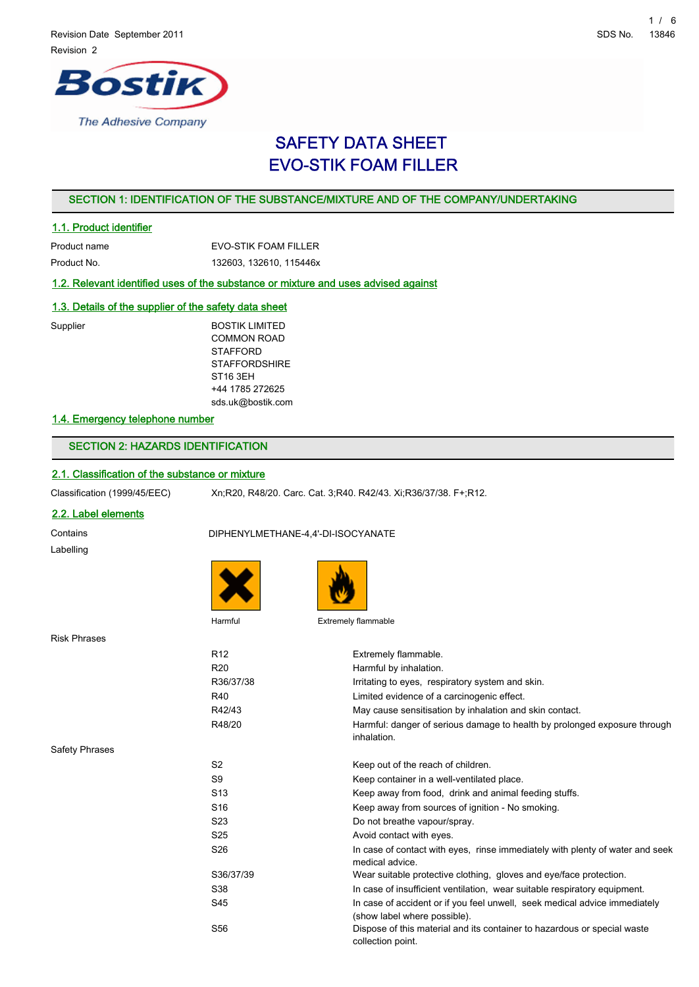

# SAFETY DATA SHEET EVO-STIK FOAM FILLER

# SECTION 1: IDENTIFICATION OF THE SUBSTANCE/MIXTURE AND OF THE COMPANY/UNDERTAKING

# 1.1. Product identifier

| Product name | EVO-STIK FOAM FILLER    |
|--------------|-------------------------|
| Product No.  | 132603, 132610, 115446x |

# 1.2. Relevant identified uses of the substance or mixture and uses advised against

# 1.3. Details of the supplier of the safety data sheet

Supplier BOSTIK LIMITED COMMON ROAD **STAFFORD STAFFORDSHIRE** ST16 3EH +44 1785 272625 sds.uk@bostik.com

# 1.4. Emergency telephone number

# SECTION 2: HAZARDS IDENTIFICATION

# 2.1. Classification of the substance or mixture

|  | Classification (1999/45/EEC) |
|--|------------------------------|
|--|------------------------------|

Xn;R20, R48/20. Carc. Cat. 3;R40. R42/43. Xi;R36/37/38. F+;R12.

# 2.2. Label elements

Contains DIPHENYLMETHANE-4,4'-DI-ISOCYANATE Labelling





Risk Ph

Safety

Harmful **Extremely flammable** 

| nrases  |                 |                                                                                                            |
|---------|-----------------|------------------------------------------------------------------------------------------------------------|
|         | R <sub>12</sub> | Extremely flammable.                                                                                       |
|         | R <sub>20</sub> | Harmful by inhalation.                                                                                     |
|         | R36/37/38       | Irritating to eyes, respiratory system and skin.                                                           |
|         | R40             | Limited evidence of a carcinogenic effect.                                                                 |
|         | R42/43          | May cause sensitisation by inhalation and skin contact.                                                    |
|         | R48/20          | Harmful: danger of serious damage to health by prolonged exposure through<br>inhalation.                   |
| Phrases |                 |                                                                                                            |
|         | S <sub>2</sub>  | Keep out of the reach of children.                                                                         |
|         | S <sub>9</sub>  | Keep container in a well-ventilated place.                                                                 |
|         | S <sub>13</sub> | Keep away from food, drink and animal feeding stuffs.                                                      |
|         | S <sub>16</sub> | Keep away from sources of ignition - No smoking.                                                           |
|         | S23             | Do not breathe vapour/spray.                                                                               |
|         | S <sub>25</sub> | Avoid contact with eyes.                                                                                   |
|         | S26             | In case of contact with eyes, rinse immediately with plenty of water and seek<br>medical advice.           |
|         | S36/37/39       | Wear suitable protective clothing, gloves and eye/face protection.                                         |
|         | S38             | In case of insufficient ventilation, wear suitable respiratory equipment.                                  |
|         | S45             | In case of accident or if you feel unwell, seek medical advice immediately<br>(show label where possible). |
|         | S56             | Dispose of this material and its container to hazardous or special waste<br>collection point.              |
|         |                 |                                                                                                            |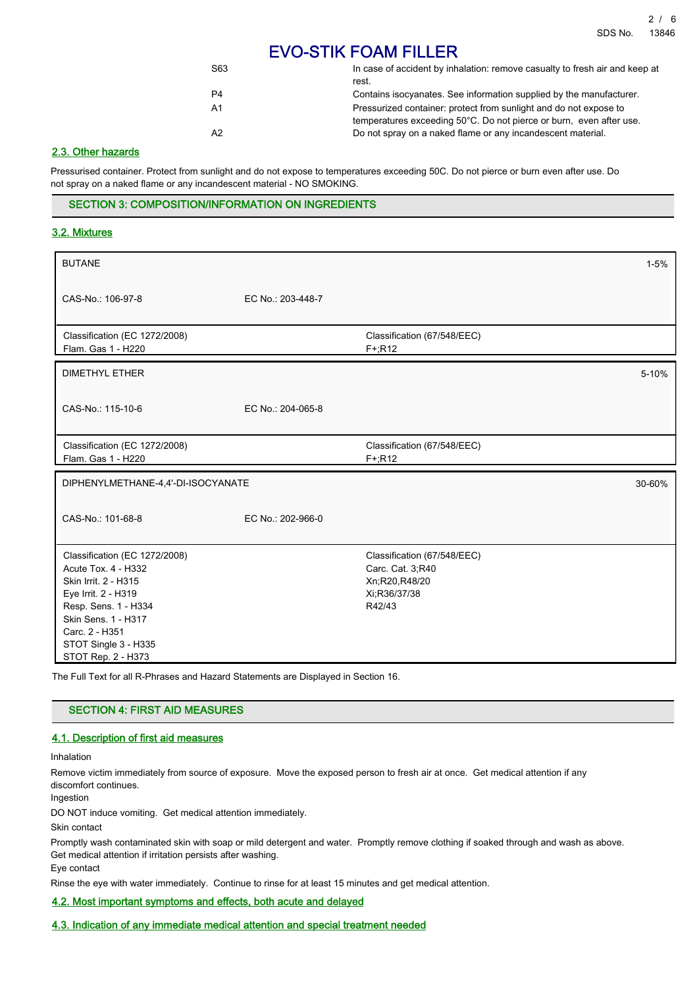# EVO-STIK FOAM FILLER

| S63            | In case of accident by inhalation: remove casualty to fresh air and keep at<br>rest.                                                     |
|----------------|------------------------------------------------------------------------------------------------------------------------------------------|
| P4             | Contains isocyanates. See information supplied by the manufacturer.                                                                      |
| A1             | Pressurized container: protect from sunlight and do not expose to<br>temperatures exceeding 50°C. Do not pierce or burn, even after use. |
| A <sub>2</sub> | Do not spray on a naked flame or any incandescent material.                                                                              |

# 2.3. Other hazards

Pressurised container. Protect from sunlight and do not expose to temperatures exceeding 50C. Do not pierce or burn even after use. Do not spray on a naked flame or any incandescent material - NO SMOKING.

#### SECTION 3: COMPOSITION/INFORMATION ON INGREDIENTS

# 3.2. Mixtures

| <b>BUTANE</b>                                                                                                                                                                                                      |                   |                                                                                            | $1 - 5%$  |
|--------------------------------------------------------------------------------------------------------------------------------------------------------------------------------------------------------------------|-------------------|--------------------------------------------------------------------------------------------|-----------|
| CAS-No.: 106-97-8                                                                                                                                                                                                  | EC No.: 203-448-7 |                                                                                            |           |
| Classification (EC 1272/2008)<br>Flam. Gas 1 - H220                                                                                                                                                                |                   | Classification (67/548/EEC)<br>$F + R12$                                                   |           |
| <b>DIMETHYL ETHER</b>                                                                                                                                                                                              |                   |                                                                                            | $5 - 10%$ |
| CAS-No.: 115-10-6                                                                                                                                                                                                  | EC No.: 204-065-8 |                                                                                            |           |
| Classification (EC 1272/2008)<br>Flam. Gas 1 - H220                                                                                                                                                                |                   | Classification (67/548/EEC)<br>$F+R12$                                                     |           |
| DIPHENYLMETHANE-4,4'-DI-ISOCYANATE                                                                                                                                                                                 |                   |                                                                                            | 30-60%    |
| CAS-No.: 101-68-8                                                                                                                                                                                                  | EC No.: 202-966-0 |                                                                                            |           |
| Classification (EC 1272/2008)<br>Acute Tox. 4 - H332<br>Skin Irrit. 2 - H315<br>Eye Irrit. 2 - H319<br>Resp. Sens. 1 - H334<br>Skin Sens. 1 - H317<br>Carc. 2 - H351<br>STOT Single 3 - H335<br>STOT Rep. 2 - H373 |                   | Classification (67/548/EEC)<br>Carc. Cat. 3;R40<br>Xn;R20,R48/20<br>Xi:R36/37/38<br>R42/43 |           |

The Full Text for all R-Phrases and Hazard Statements are Displayed in Section 16.

# SECTION 4: FIRST AID MEASURES

# 4.1. Description of first aid measures

Inhalation

Remove victim immediately from source of exposure. Move the exposed person to fresh air at once. Get medical attention if any discomfort continues.

Ingestion

DO NOT induce vomiting. Get medical attention immediately.

Skin contact

Promptly wash contaminated skin with soap or mild detergent and water. Promptly remove clothing if soaked through and wash as above. Get medical attention if irritation persists after washing. Eye contact

Rinse the eye with water immediately. Continue to rinse for at least 15 minutes and get medical attention.

#### 4.2. Most important symptoms and effects, both acute and delayed

# 4.3. Indication of any immediate medical attention and special treatment needed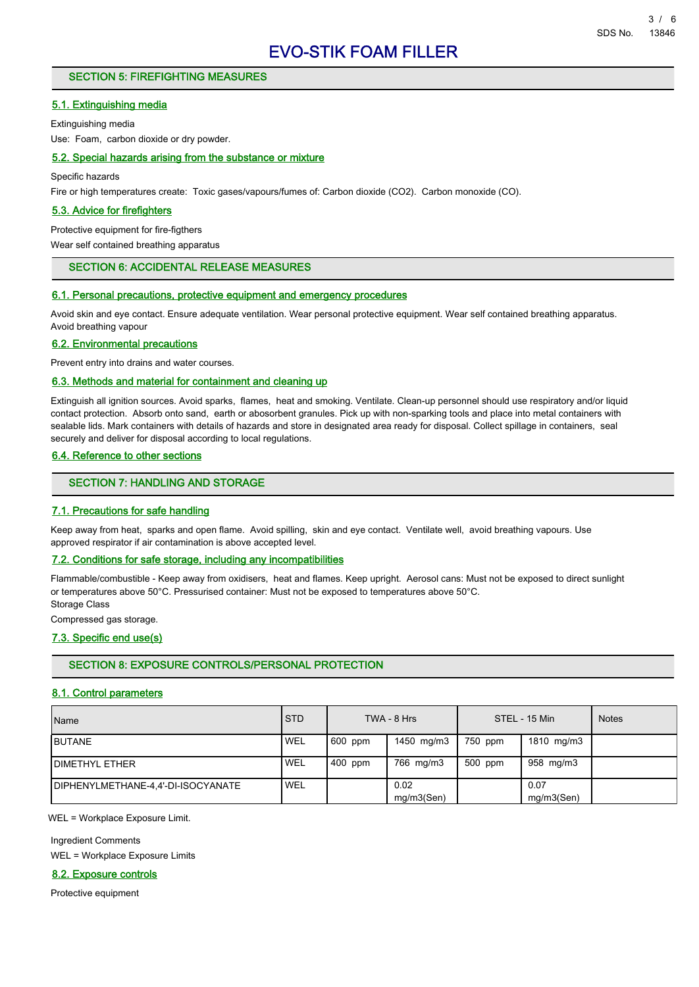# SECTION 5: FIREFIGHTING MEASURES

#### 5.1. Extinguishing media

Extinguishing media

Use: Foam, carbon dioxide or dry powder.

#### 5.2. Special hazards arising from the substance or mixture

Specific hazards

Fire or high temperatures create: Toxic gases/vapours/fumes of: Carbon dioxide (CO2). Carbon monoxide (CO).

# 5.3. Advice for firefighters

Protective equipment for fire-figthers

Wear self contained breathing apparatus

# SECTION 6: ACCIDENTAL RELEASE MEASURES

#### 6.1. Personal precautions, protective equipment and emergency procedures

Avoid skin and eye contact. Ensure adequate ventilation. Wear personal protective equipment. Wear self contained breathing apparatus. Avoid breathing vapour

#### 6.2. Environmental precautions

Prevent entry into drains and water courses.

#### 6.3. Methods and material for containment and cleaning up

Extinguish all ignition sources. Avoid sparks, flames, heat and smoking. Ventilate. Clean-up personnel should use respiratory and/or liquid contact protection. Absorb onto sand, earth or abosorbent granules. Pick up with non-sparking tools and place into metal containers with sealable lids. Mark containers with details of hazards and store in designated area ready for disposal. Collect spillage in containers, seal securely and deliver for disposal according to local regulations.

#### 6.4. Reference to other sections

#### SECTION 7: HANDLING AND STORAGE

#### 7.1. Precautions for safe handling

Keep away from heat, sparks and open flame. Avoid spilling, skin and eye contact. Ventilate well, avoid breathing vapours. Use approved respirator if air contamination is above accepted level.

#### 7.2. Conditions for safe storage, including any incompatibilities

Flammable/combustible - Keep away from oxidisers, heat and flames. Keep upright. Aerosol cans: Must not be exposed to direct sunlight or temperatures above 50°C. Pressurised container: Must not be exposed to temperatures above 50°C. Storage Class

Compressed gas storage.

# 7.3. Specific end use(s)

# SECTION 8: EXPOSURE CONTROLS/PERSONAL PROTECTION

#### 8.1. Control parameters

| Name                               | <b>STD</b> |         | TWA - 8 Hrs        |         | STEL - 15 Min      | <b>Notes</b> |
|------------------------------------|------------|---------|--------------------|---------|--------------------|--------------|
| <b>IBUTANE</b>                     | <b>WEL</b> | 600 ppm | 1450 mg/m3         | 750 ppm | 1810 mg/m3         |              |
| <b>IDIMETHYL ETHER</b>             | <b>WEL</b> | 400 ppm | 766 mg/m3          | 500 ppm | 958 mg/m3          |              |
| DIPHENYLMETHANE-4.4'-DI-ISOCYANATE | ' WEL      |         | 0.02<br>mq/m3(Sen) |         | 0.07<br>mg/m3(Sen) |              |

WEL = Workplace Exposure Limit.

Ingredient Comments WEL = Workplace Exposure Limits

#### 8.2. Exposure controls

Protective equipment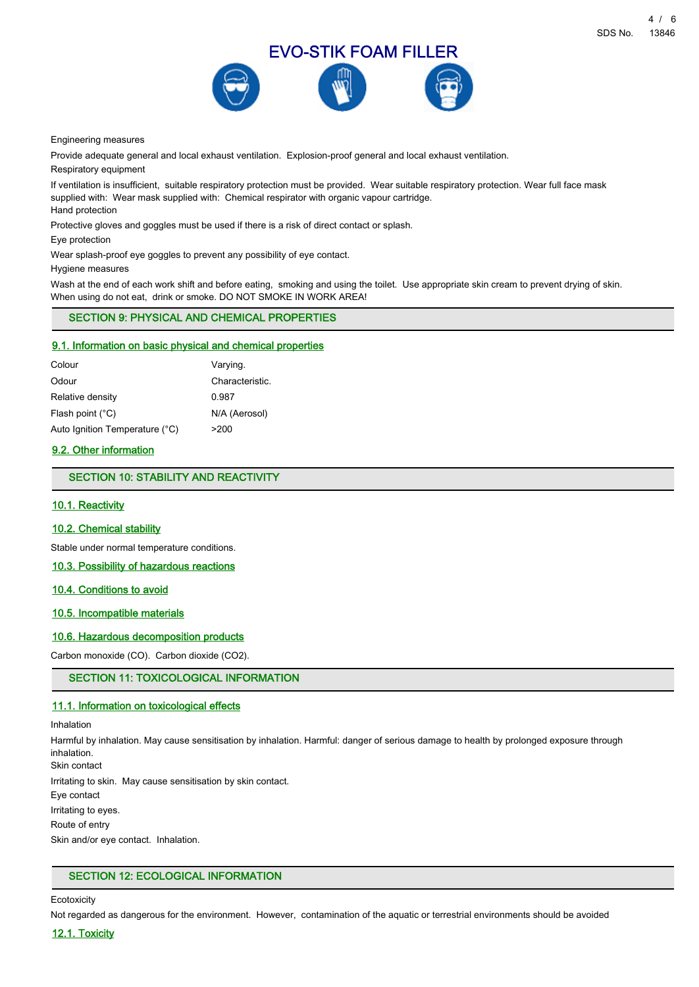

Engineering measures

Provide adequate general and local exhaust ventilation. Explosion-proof general and local exhaust ventilation.

Respiratory equipment

If ventilation is insufficient, suitable respiratory protection must be provided. Wear suitable respiratory protection. Wear full face mask supplied with: Wear mask supplied with: Chemical respirator with organic vapour cartridge. Hand protection

Protective gloves and goggles must be used if there is a risk of direct contact or splash.

Eye protection

Wear splash-proof eye goggles to prevent any possibility of eye contact.

Hygiene measures

Wash at the end of each work shift and before eating, smoking and using the toilet. Use appropriate skin cream to prevent drying of skin. When using do not eat, drink or smoke. DO NOT SMOKE IN WORK AREA!

# SECTION 9: PHYSICAL AND CHEMICAL PROPERTIES

#### 9.1. Information on basic physical and chemical properties

| Colour                         | Varying.        |
|--------------------------------|-----------------|
| Odour                          | Characteristic. |
| Relative density               | 0.987           |
| Flash point (°C)               | N/A (Aerosol)   |
| Auto Ignition Temperature (°C) | >200            |

# 9.2. Other information

SECTION 10: STABILITY AND REACTIVITY

#### 10.1. Reactivity

#### 10.2. Chemical stability

Stable under normal temperature conditions.

# 10.3. Possibility of hazardous reactions

# 10.4. Conditions to avoid

# 10.5. Incompatible materials

## 10.6. Hazardous decomposition products

Carbon monoxide (CO). Carbon dioxide (CO2).

# SECTION 11: TOXICOLOGICAL INFORMATION

#### 11.1. Information on toxicological effects

#### Inhalation

Harmful by inhalation. May cause sensitisation by inhalation. Harmful: danger of serious damage to health by prolonged exposure through inhalation.

Skin contact

Irritating to skin. May cause sensitisation by skin contact.

Eye contact

Irritating to eyes.

Route of entry

Skin and/or eye contact. Inhalation.

#### SECTION 12: ECOLOGICAL INFORMATION

**Ecotoxicity** 

Not regarded as dangerous for the environment. However, contamination of the aquatic or terrestrial environments should be avoided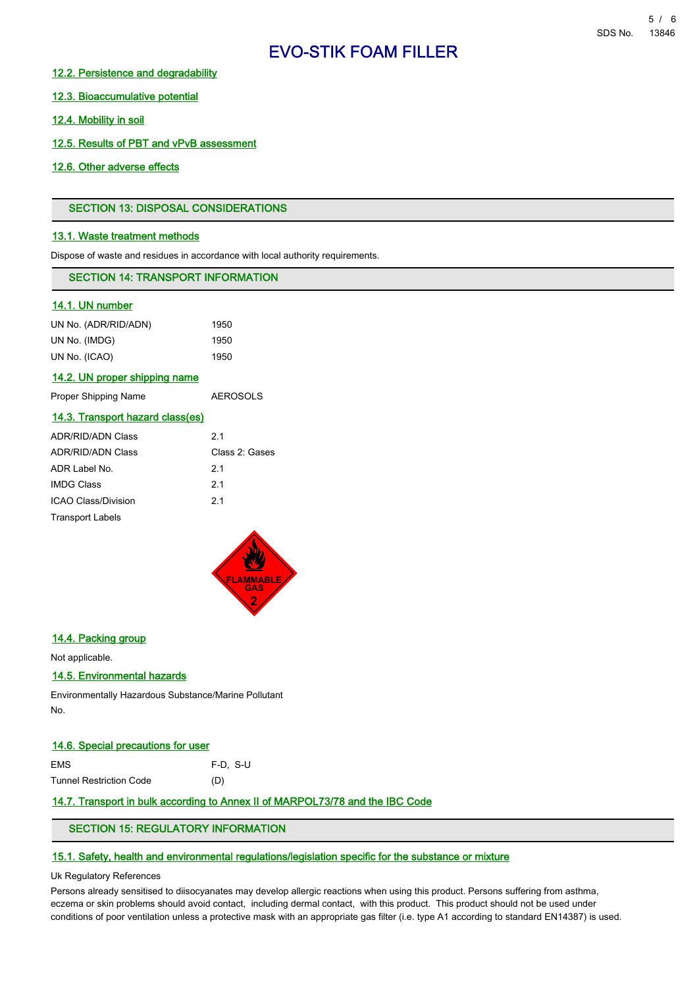# EVO-STIK FOAM FILLER

# 12.2. Persistence and degradability

12.3. Bioaccumulative potential

12.4. Mobility in soil

12.5. Results of PBT and vPvB assessment

12.6. Other adverse effects

# SECTION 13: DISPOSAL CONSIDERATIONS

# 13.1. Waste treatment methods

Dispose of waste and residues in accordance with local authority requirements.

# SECTION 14: TRANSPORT INFORMATION

# 14.1. UN number

| UN No. (ADR/RID/ADN) | 1950 |
|----------------------|------|
| UN No. (IMDG)        | 1950 |
| UN No. (ICAO)        | 1950 |

#### 14.2. UN proper shipping name

| Proper Shipping Name | <b>AEROSOLS</b> |
|----------------------|-----------------|
|                      |                 |

#### 14.3. Transport hazard class(es)

| <b>ADR/RID/ADN Class</b> | 21             |
|--------------------------|----------------|
| <b>ADR/RID/ADN Class</b> | Class 2: Gases |
| ADR Label No.            | 21             |
| <b>IMDG Class</b>        | 21             |
| ICAO Class/Division      | 21             |
| <b>Transport Labels</b>  |                |



#### 14.4. Packing group

Not applicable.

# 14.5. Environmental hazards

Environmentally Hazardous Substance/Marine Pollutant No.

#### 14.6. Special precautions for user

| EMS.                    | F-D. S-U |
|-------------------------|----------|
| Tunnel Restriction Code | (D)      |

# 14.7. Transport in bulk according to Annex II of MARPOL73/78 and the IBC Code

# SECTION 15: REGULATORY INFORMATION

# 15.1. Safety, health and environmental regulations/legislation specific for the substance or mixture

# Uk Regulatory References

Persons already sensitised to diisocyanates may develop allergic reactions when using this product. Persons suffering from asthma, eczema or skin problems should avoid contact, including dermal contact, with this product. This product should not be used under conditions of poor ventilation unless a protective mask with an appropriate gas filter (i.e. type A1 according to standard EN14387) is used.